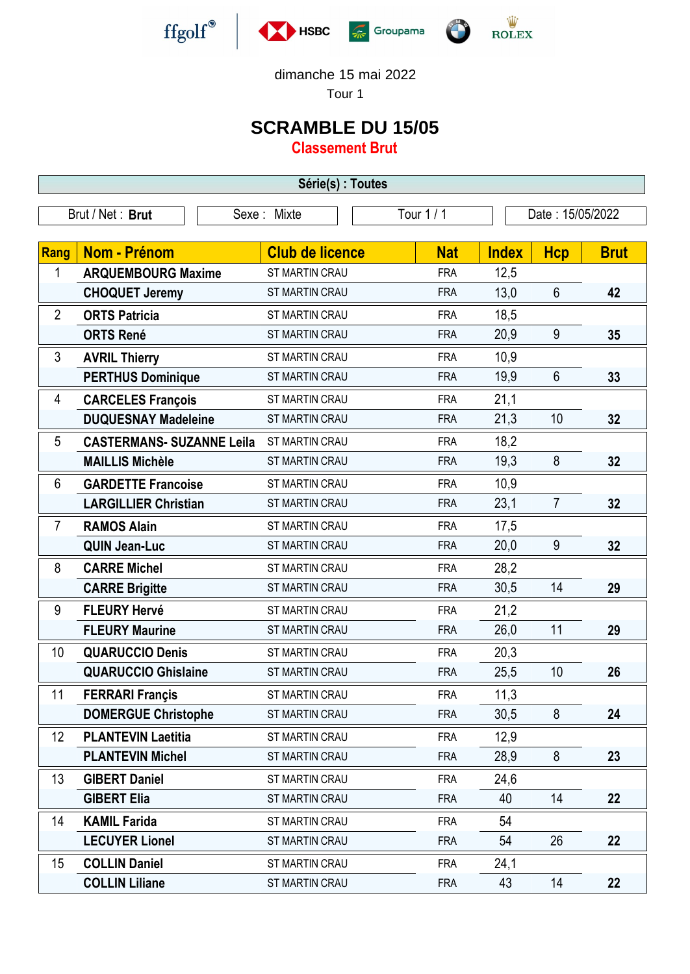





dimanche 15 mai 2022

Tour 1

## **SCRAMBLE DU 15/05**

**Classement Brut**

| Série(s) : Toutes |                                  |                        |            |                  |                |             |  |  |  |
|-------------------|----------------------------------|------------------------|------------|------------------|----------------|-------------|--|--|--|
|                   | Brut / Net: Brut                 | Sexe: Mixte            | Tour 1 / 1 | Date: 15/05/2022 |                |             |  |  |  |
|                   |                                  |                        |            |                  |                |             |  |  |  |
| Rang              | <b>Nom - Prénom</b>              | <b>Club de licence</b> | <b>Nat</b> | <b>Index</b>     | <b>Hcp</b>     | <b>Brut</b> |  |  |  |
| 1                 | <b>ARQUEMBOURG Maxime</b>        | ST MARTIN CRAU         | <b>FRA</b> | 12,5             |                |             |  |  |  |
|                   | <b>CHOQUET Jeremy</b>            | ST MARTIN CRAU         | <b>FRA</b> | 13,0             | $6\phantom{1}$ | 42          |  |  |  |
| $\overline{2}$    | <b>ORTS Patricia</b>             | <b>ST MARTIN CRAU</b>  | <b>FRA</b> | 18,5             |                |             |  |  |  |
|                   | <b>ORTS René</b>                 | ST MARTIN CRAU         | <b>FRA</b> | 20,9             | 9              | 35          |  |  |  |
| 3                 | <b>AVRIL Thierry</b>             | ST MARTIN CRAU         | <b>FRA</b> | 10,9             |                |             |  |  |  |
|                   | <b>PERTHUS Dominique</b>         | ST MARTIN CRAU         | <b>FRA</b> | 19,9             | $6\phantom{1}$ | 33          |  |  |  |
| 4                 | <b>CARCELES François</b>         | ST MARTIN CRAU         | <b>FRA</b> | 21,1             |                |             |  |  |  |
|                   | <b>DUQUESNAY Madeleine</b>       | ST MARTIN CRAU         | <b>FRA</b> | 21,3             | 10             | 32          |  |  |  |
| 5                 | <b>CASTERMANS- SUZANNE Leila</b> | <b>ST MARTIN CRAU</b>  | <b>FRA</b> | 18,2             |                |             |  |  |  |
|                   | <b>MAILLIS Michèle</b>           | ST MARTIN CRAU         | <b>FRA</b> | 19,3             | 8              | 32          |  |  |  |
| 6                 | <b>GARDETTE Francoise</b>        | ST MARTIN CRAU         | <b>FRA</b> | 10,9             |                |             |  |  |  |
|                   | <b>LARGILLIER Christian</b>      | <b>ST MARTIN CRAU</b>  | <b>FRA</b> | 23,1             | $\overline{7}$ | 32          |  |  |  |
| $\overline{7}$    | <b>RAMOS Alain</b>               | ST MARTIN CRAU         | <b>FRA</b> | 17,5             |                |             |  |  |  |
|                   | <b>QUIN Jean-Luc</b>             | ST MARTIN CRAU         | <b>FRA</b> | 20,0             | 9              | 32          |  |  |  |
| 8                 | <b>CARRE Michel</b>              | ST MARTIN CRAU         | <b>FRA</b> | 28,2             |                |             |  |  |  |
|                   | <b>CARRE Brigitte</b>            | ST MARTIN CRAU         | <b>FRA</b> | 30,5             | 14             | 29          |  |  |  |
| 9                 | <b>FLEURY Hervé</b>              | ST MARTIN CRAU         | <b>FRA</b> | 21,2             |                |             |  |  |  |
|                   | <b>FLEURY Maurine</b>            | <b>ST MARTIN CRAU</b>  | <b>FRA</b> | 26,0             | 11             | 29          |  |  |  |
| 10                | <b>QUARUCCIO Denis</b>           | ST MARTIN CRAU         | <b>FRA</b> | 20,3             |                |             |  |  |  |
|                   | <b>QUARUCCIO Ghislaine</b>       | ST MARTIN CRAU         | <b>FRA</b> | 25,5             | 10             | 26          |  |  |  |
| 11                | <b>FERRARI Françis</b>           | ST MARTIN CRAU         | <b>FRA</b> | 11,3             |                |             |  |  |  |
|                   | <b>DOMERGUE Christophe</b>       | ST MARTIN CRAU         | <b>FRA</b> | 30,5             | 8              | 24          |  |  |  |
| 12                | <b>PLANTEVIN Laetitia</b>        | ST MARTIN CRAU         | <b>FRA</b> | 12,9             |                |             |  |  |  |
|                   | <b>PLANTEVIN Michel</b>          | ST MARTIN CRAU         | <b>FRA</b> | 28,9             | $8\phantom{1}$ | 23          |  |  |  |
| 13                | <b>GIBERT Daniel</b>             | ST MARTIN CRAU         | <b>FRA</b> | 24,6             |                |             |  |  |  |
|                   | <b>GIBERT Elia</b>               | ST MARTIN CRAU         | <b>FRA</b> | 40               | 14             | 22          |  |  |  |
| 14                | <b>KAMIL Farida</b>              | ST MARTIN CRAU         | <b>FRA</b> | 54               |                |             |  |  |  |
|                   | <b>LECUYER Lionel</b>            | <b>ST MARTIN CRAU</b>  | <b>FRA</b> | 54               | 26             | 22          |  |  |  |
| 15                | <b>COLLIN Daniel</b>             | ST MARTIN CRAU         | <b>FRA</b> | 24,1             |                |             |  |  |  |
|                   | <b>COLLIN Liliane</b>            | ST MARTIN CRAU         | <b>FRA</b> | 43               | 14             | 22          |  |  |  |